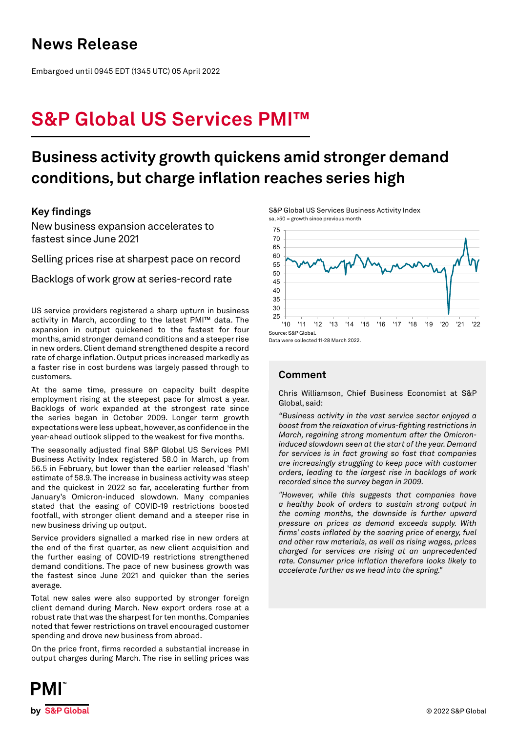### **News Release**

Embargoed until 0945 EDT (1345 UTC) 05 April 2022

# **S&P Global US Services PMI™**

### **Business activity growth quickens amid stronger demand conditions, but charge inflation reaches series high**

### **Key findings**

New business expansion accelerates to fastest since June 2021

Selling prices rise at sharpest pace on record

Backlogs of work grow at series-record rate

US service providers registered a sharp upturn in business activity in March, according to the latest PMI™ data. The expansion in output quickened to the fastest for four months, amid stronger demand conditions and a steeper rise in new orders. Client demand strengthened despite a record rate of charge inflation. Output prices increased markedly as a faster rise in cost burdens was largely passed through to customers.

At the same time, pressure on capacity built despite employment rising at the steepest pace for almost a year. Backlogs of work expanded at the strongest rate since the series began in October 2009. Longer term growth expectations were less upbeat, however, as confidence in the year-ahead outlook slipped to the weakest for five months.

The seasonally adjusted final S&P Global US Services PMI Business Activity Index registered 58.0 in March, up from 56.5 in February, but lower than the earlier released 'flash' estimate of 58.9. The increase in business activity was steep and the quickest in 2022 so far, accelerating further from January's Omicron-induced slowdown. Many companies stated that the easing of COVID-19 restrictions boosted footfall, with stronger client demand and a steeper rise in new business driving up output.

Service providers signalled a marked rise in new orders at the end of the first quarter, as new client acquisition and the further easing of COVID-19 restrictions strengthened demand conditions. The pace of new business growth was the fastest since June 2021 and quicker than the series average.

Total new sales were also supported by stronger foreign client demand during March. New export orders rose at a robust rate that was the sharpest for ten months. Companies noted that fewer restrictions on travel encouraged customer spending and drove new business from abroad.

On the price front, firms recorded a substantial increase in output charges during March. The rise in selling prices was

S&P Global US Services Business Activity Index sa, >50 = growth since previous month



Data were collected 11-28 March 2022.

### **Comment**

Chris Williamson, Chief Business Economist at S&P Global, said:

*"Business activity in the vast service sector enjoyed a boost from the relaxation of virus-fighting restrictions in March, regaining strong momentum after the Omicroninduced slowdown seen at the start of the year. Demand for services is in fact growing so fast that companies are increasingly struggling to keep pace with customer orders, leading to the largest rise in backlogs of work recorded since the survey began in 2009.* 

*"However, while this suggests that companies have a healthy book of orders to sustain strong output in the coming months, the downside is further upward pressure on prices as demand exceeds supply. With firms' costs inflated by the soaring price of energy, fuel and other raw materials, as well as rising wages, prices charged for services are rising at an unprecedented rate. Consumer price inflation therefore looks likely to accelerate further as we head into the spring."*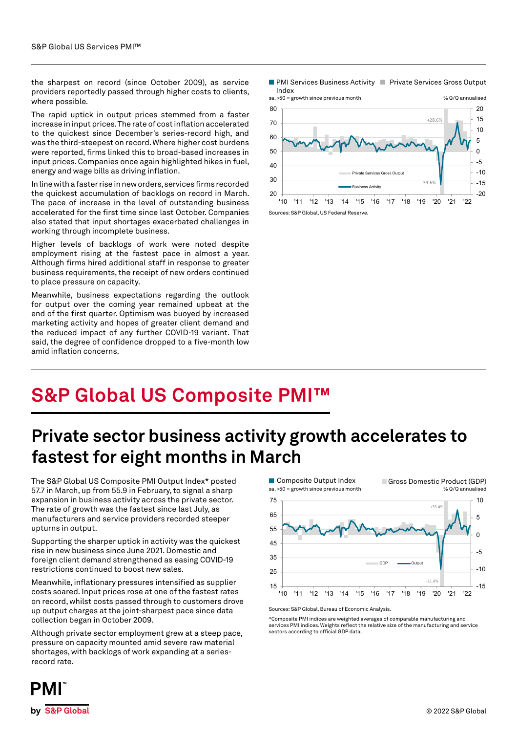the sharpest on record (since October 2009), as service providers reportedly passed through higher costs to clients, where possible.

The rapid uptick in output prices stemmed from a faster increase in input prices. The rate of cost inflation accelerated to the quickest since December's series-record high, and was the third-steepest on record. Where higher cost burdens were reported, firms linked this to broad-based increases in input prices. Companies once again highlighted hikes in fuel, energy and wage bills as driving inflation.

In line with a faster rise in new orders, services firms recorded the quickest accumulation of backlogs on record in March. The pace of increase in the level of outstanding business accelerated for the first time since last October. Companies also stated that input shortages exacerbated challenges in working through incomplete business.

Higher levels of backlogs of work were noted despite employment rising at the fastest pace in almost a year. Although firms hired additional staff in response to greater business requirements, the receipt of new orders continued to place pressure on capacity.

Meanwhile, business expectations regarding the outlook for output over the coming year remained upbeat at the end of the first quarter. Optimism was buoyed by increased marketing activity and hopes of greater client demand and the reduced impact of any further COVID-19 variant. That said, the degree of confidence dropped to a five-month low amid inflation concerns.

PMI Services Business Activity | Private Services Gross Output Index



# **S&P Global US Composite PMI™**

## **Private sector business activity growth accelerates to fastest for eight months in March**

The S&P Global US Composite PMI Output Index\* posted 57.7 in March, up from 55.9 in February, to signal a sharp expansion in business activity across the private sector. The rate of growth was the fastest since last July, as manufacturers and service providers recorded steeper upturns in output.

Supporting the sharper uptick in activity was the quickest rise in new business since June 2021. Domestic and foreign client demand strengthened as easing COVID-19 restrictions continued to boost new sales.

Meanwhile, inflationary pressures intensified as supplier costs soared. Input prices rose at one of the fastest rates on record, whilst costs passed through to customers drove up output charges at the joint-sharpest pace since data collection began in October 2009.

Although private sector employment grew at a steep pace, pressure on capacity mounted amid severe raw material shortages, with backlogs of work expanding at a seriesrecord rate.



Sources: S&P Global, Bureau of Economic Analysis.

\*Composite PMI indices are weighted averages of comparable manufacturing and services PMI indices. Weights reflect the relative size of the manufacturing and service sectors according to official GDP data.